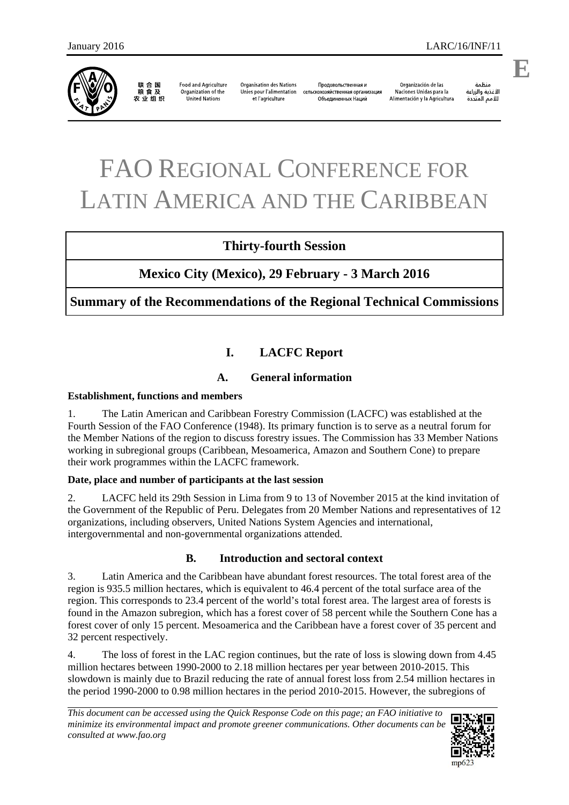

联合国<br>粮食及 农业组织

**Food and Agriculture** Organization of the **United Nations** 

**Organisation des Nations** Unies pour l'alimentation et l'agriculture

Продовольственная и сельскохозяйственная организация Объединенных Наций

Organización de las Naciones Unidas para la Alimentación y la Agricultura

ونظوة الأغذية والزراعة للأمم المتحدة **E**

# FAO REGIONAL CONFERENCE FOR LATIN AMERICA AND THE CARIBBEAN

# **Thirty-fourth Session**

# **Mexico City (Mexico), 29 February - 3 March 2016**

**Summary of the Recommendations of the Regional Technical Commissions** 

# **I. LACFC Report**

# **A. General information**

## **Establishment, functions and members**

1. The Latin American and Caribbean Forestry Commission (LACFC) was established at the Fourth Session of the FAO Conference (1948). Its primary function is to serve as a neutral forum for the Member Nations of the region to discuss forestry issues. The Commission has 33 Member Nations working in subregional groups (Caribbean, Mesoamerica, Amazon and Southern Cone) to prepare their work programmes within the LACFC framework.

# **Date, place and number of participants at the last session**

2. LACFC held its 29th Session in Lima from 9 to 13 of November 2015 at the kind invitation of the Government of the Republic of Peru. Delegates from 20 Member Nations and representatives of 12 organizations, including observers, United Nations System Agencies and international, intergovernmental and non-governmental organizations attended.

# **B. Introduction and sectoral context**

3. Latin America and the Caribbean have abundant forest resources. The total forest area of the region is 935.5 million hectares, which is equivalent to 46.4 percent of the total surface area of the region. This corresponds to 23.4 percent of the world's total forest area. The largest area of forests is found in the Amazon subregion, which has a forest cover of 58 percent while the Southern Cone has a forest cover of only 15 percent. Mesoamerica and the Caribbean have a forest cover of 35 percent and 32 percent respectively.

4. The loss of forest in the LAC region continues, but the rate of loss is slowing down from 4.45 million hectares between 1990-2000 to 2.18 million hectares per year between 2010-2015. This slowdown is mainly due to Brazil reducing the rate of annual forest loss from 2.54 million hectares in the period 1990-2000 to 0.98 million hectares in the period 2010-2015. However, the subregions of

*This document can be accessed using the Quick Response Code on this page; an FAO initiative to minimize its environmental impact and promote greener communications. Other documents can be consulted at www.fao.org* 

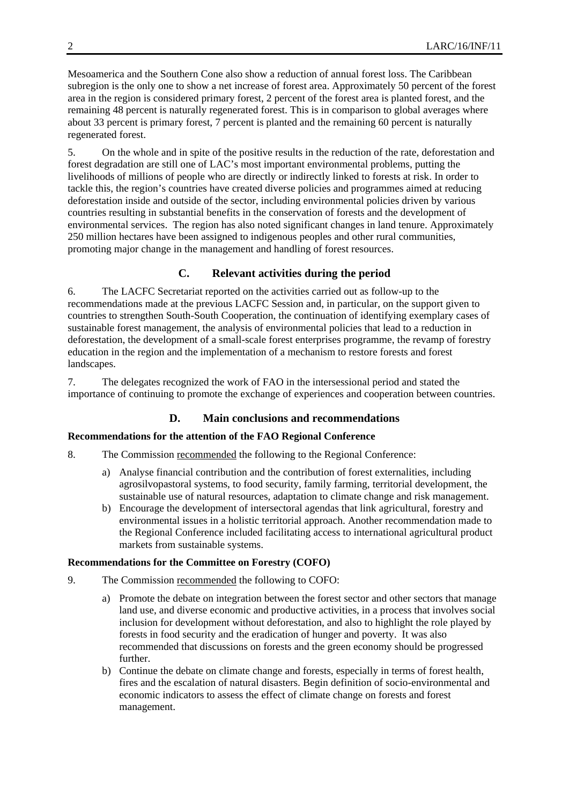Mesoamerica and the Southern Cone also show a reduction of annual forest loss. The Caribbean subregion is the only one to show a net increase of forest area. Approximately 50 percent of the forest area in the region is considered primary forest, 2 percent of the forest area is planted forest, and the remaining 48 percent is naturally regenerated forest. This is in comparison to global averages where about 33 percent is primary forest, 7 percent is planted and the remaining 60 percent is naturally regenerated forest.

5. On the whole and in spite of the positive results in the reduction of the rate, deforestation and forest degradation are still one of LAC's most important environmental problems, putting the livelihoods of millions of people who are directly or indirectly linked to forests at risk. In order to tackle this, the region's countries have created diverse policies and programmes aimed at reducing deforestation inside and outside of the sector, including environmental policies driven by various countries resulting in substantial benefits in the conservation of forests and the development of environmental services. The region has also noted significant changes in land tenure. Approximately 250 million hectares have been assigned to indigenous peoples and other rural communities, promoting major change in the management and handling of forest resources.

# **C. Relevant activities during the period**

6. The LACFC Secretariat reported on the activities carried out as follow-up to the recommendations made at the previous LACFC Session and, in particular, on the support given to countries to strengthen South-South Cooperation, the continuation of identifying exemplary cases of sustainable forest management, the analysis of environmental policies that lead to a reduction in deforestation, the development of a small-scale forest enterprises programme, the revamp of forestry education in the region and the implementation of a mechanism to restore forests and forest landscapes.

7. The delegates recognized the work of FAO in the intersessional period and stated the importance of continuing to promote the exchange of experiences and cooperation between countries.

# **D. Main conclusions and recommendations**

## **Recommendations for the attention of the FAO Regional Conference**

- 8. The Commission recommended the following to the Regional Conference:
	- a) Analyse financial contribution and the contribution of forest externalities, including agrosilvopastoral systems, to food security, family farming, territorial development, the sustainable use of natural resources, adaptation to climate change and risk management.
	- b) Encourage the development of intersectoral agendas that link agricultural, forestry and environmental issues in a holistic territorial approach. Another recommendation made to the Regional Conference included facilitating access to international agricultural product markets from sustainable systems.

## **Recommendations for the Committee on Forestry (COFO)**

- 9. The Commission recommended the following to COFO:
	- a) Promote the debate on integration between the forest sector and other sectors that manage land use, and diverse economic and productive activities, in a process that involves social inclusion for development without deforestation, and also to highlight the role played by forests in food security and the eradication of hunger and poverty. It was also recommended that discussions on forests and the green economy should be progressed further.
	- b) Continue the debate on climate change and forests, especially in terms of forest health, fires and the escalation of natural disasters. Begin definition of socio-environmental and economic indicators to assess the effect of climate change on forests and forest management.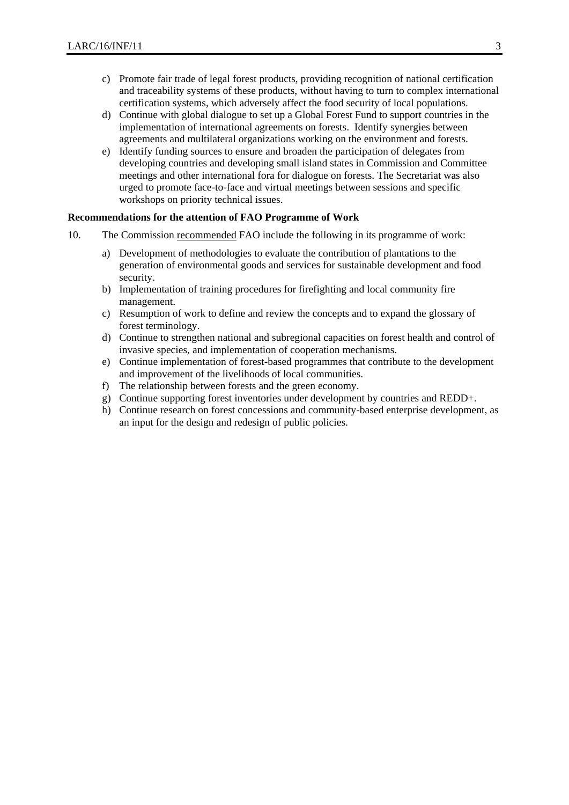- c) Promote fair trade of legal forest products, providing recognition of national certification and traceability systems of these products, without having to turn to complex international certification systems, which adversely affect the food security of local populations.
- d) Continue with global dialogue to set up a Global Forest Fund to support countries in the implementation of international agreements on forests. Identify synergies between agreements and multilateral organizations working on the environment and forests.
- e) Identify funding sources to ensure and broaden the participation of delegates from developing countries and developing small island states in Commission and Committee meetings and other international fora for dialogue on forests. The Secretariat was also urged to promote face-to-face and virtual meetings between sessions and specific workshops on priority technical issues.

## **Recommendations for the attention of FAO Programme of Work**

- 10. The Commission recommended FAO include the following in its programme of work:
	- a) Development of methodologies to evaluate the contribution of plantations to the generation of environmental goods and services for sustainable development and food security.
	- b) Implementation of training procedures for firefighting and local community fire management.
	- c) Resumption of work to define and review the concepts and to expand the glossary of forest terminology.
	- d) Continue to strengthen national and subregional capacities on forest health and control of invasive species, and implementation of cooperation mechanisms.
	- e) Continue implementation of forest-based programmes that contribute to the development and improvement of the livelihoods of local communities.
	- f) The relationship between forests and the green economy.
	- g) Continue supporting forest inventories under development by countries and REDD+.
	- h) Continue research on forest concessions and community-based enterprise development, as an input for the design and redesign of public policies.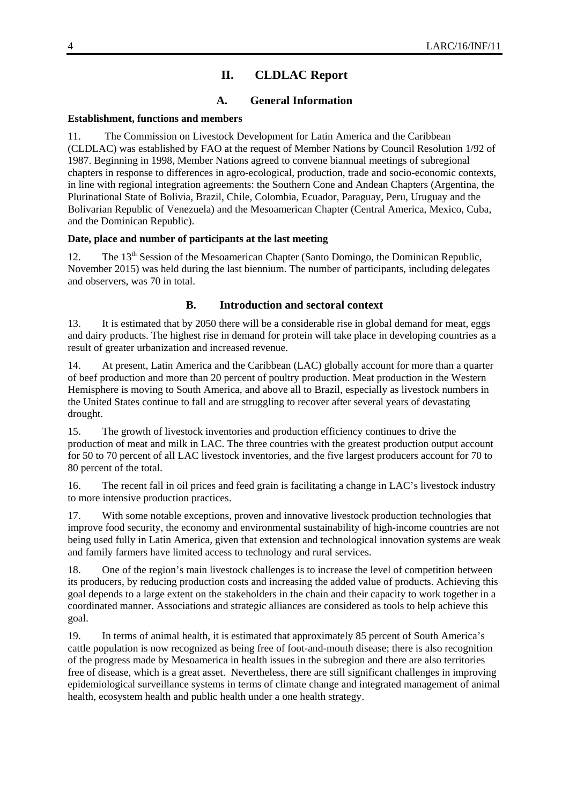# **II. CLDLAC Report**

## **A. General Information**

#### **Establishment, functions and members**

11. The Commission on Livestock Development for Latin America and the Caribbean (CLDLAC) was established by FAO at the request of Member Nations by Council Resolution 1/92 of 1987. Beginning in 1998, Member Nations agreed to convene biannual meetings of subregional chapters in response to differences in agro-ecological, production, trade and socio-economic contexts, in line with regional integration agreements: the Southern Cone and Andean Chapters (Argentina, the Plurinational State of Bolivia, Brazil, Chile, Colombia, Ecuador, Paraguay, Peru, Uruguay and the Bolivarian Republic of Venezuela) and the Mesoamerican Chapter (Central America, Mexico, Cuba, and the Dominican Republic).

## **Date, place and number of participants at the last meeting**

12. The 13<sup>th</sup> Session of the Mesoamerican Chapter (Santo Domingo, the Dominican Republic, November 2015) was held during the last biennium. The number of participants, including delegates and observers, was 70 in total.

## **B. Introduction and sectoral context**

13. It is estimated that by 2050 there will be a considerable rise in global demand for meat, eggs and dairy products. The highest rise in demand for protein will take place in developing countries as a result of greater urbanization and increased revenue.

14. At present, Latin America and the Caribbean (LAC) globally account for more than a quarter of beef production and more than 20 percent of poultry production. Meat production in the Western Hemisphere is moving to South America, and above all to Brazil, especially as livestock numbers in the United States continue to fall and are struggling to recover after several years of devastating drought.

15. The growth of livestock inventories and production efficiency continues to drive the production of meat and milk in LAC. The three countries with the greatest production output account for 50 to 70 percent of all LAC livestock inventories, and the five largest producers account for 70 to 80 percent of the total.

16. The recent fall in oil prices and feed grain is facilitating a change in LAC's livestock industry to more intensive production practices.

17. With some notable exceptions, proven and innovative livestock production technologies that improve food security, the economy and environmental sustainability of high-income countries are not being used fully in Latin America, given that extension and technological innovation systems are weak and family farmers have limited access to technology and rural services.

18. One of the region's main livestock challenges is to increase the level of competition between its producers, by reducing production costs and increasing the added value of products. Achieving this goal depends to a large extent on the stakeholders in the chain and their capacity to work together in a coordinated manner. Associations and strategic alliances are considered as tools to help achieve this goal.

19. In terms of animal health, it is estimated that approximately 85 percent of South America's cattle population is now recognized as being free of foot-and-mouth disease; there is also recognition of the progress made by Mesoamerica in health issues in the subregion and there are also territories free of disease, which is a great asset. Nevertheless, there are still significant challenges in improving epidemiological surveillance systems in terms of climate change and integrated management of animal health, ecosystem health and public health under a one health strategy.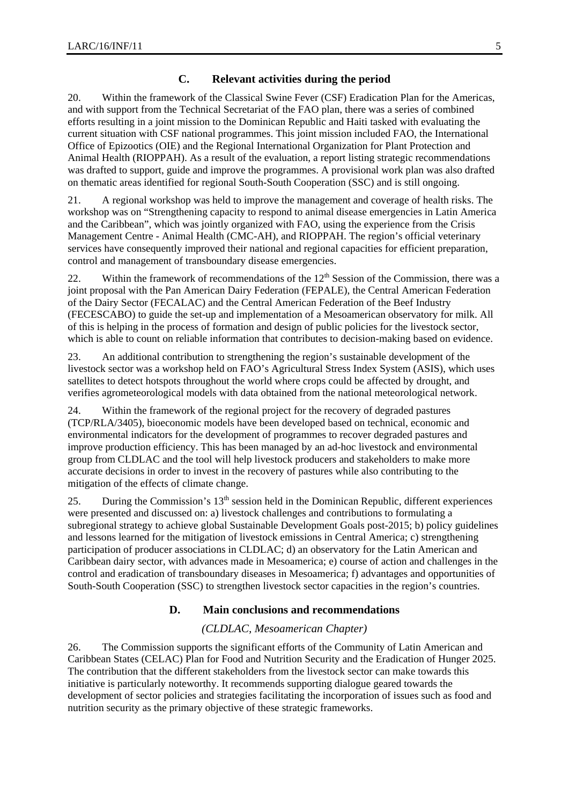## **C. Relevant activities during the period**

20. Within the framework of the Classical Swine Fever (CSF) Eradication Plan for the Americas, and with support from the Technical Secretariat of the FAO plan, there was a series of combined efforts resulting in a joint mission to the Dominican Republic and Haiti tasked with evaluating the current situation with CSF national programmes. This joint mission included FAO, the International Office of Epizootics (OIE) and the Regional International Organization for Plant Protection and Animal Health (RIOPPAH). As a result of the evaluation, a report listing strategic recommendations was drafted to support, guide and improve the programmes. A provisional work plan was also drafted on thematic areas identified for regional South-South Cooperation (SSC) and is still ongoing.

21. A regional workshop was held to improve the management and coverage of health risks. The workshop was on "Strengthening capacity to respond to animal disease emergencies in Latin America and the Caribbean", which was jointly organized with FAO, using the experience from the Crisis Management Centre - Animal Health (CMC-AH), and RIOPPAH. The region's official veterinary services have consequently improved their national and regional capacities for efficient preparation, control and management of transboundary disease emergencies.

22. Within the framework of recommendations of the  $12<sup>th</sup>$  Session of the Commission, there was a joint proposal with the Pan American Dairy Federation (FEPALE), the Central American Federation of the Dairy Sector (FECALAC) and the Central American Federation of the Beef Industry (FECESCABO) to guide the set-up and implementation of a Mesoamerican observatory for milk. All of this is helping in the process of formation and design of public policies for the livestock sector, which is able to count on reliable information that contributes to decision-making based on evidence.

23. An additional contribution to strengthening the region's sustainable development of the livestock sector was a workshop held on FAO's Agricultural Stress Index System (ASIS), which uses satellites to detect hotspots throughout the world where crops could be affected by drought, and verifies agrometeorological models with data obtained from the national meteorological network.

24. Within the framework of the regional project for the recovery of degraded pastures (TCP/RLA/3405), bioeconomic models have been developed based on technical, economic and environmental indicators for the development of programmes to recover degraded pastures and improve production efficiency. This has been managed by an ad-hoc livestock and environmental group from CLDLAC and the tool will help livestock producers and stakeholders to make more accurate decisions in order to invest in the recovery of pastures while also contributing to the mitigation of the effects of climate change.

25. During the Commission's  $13<sup>th</sup>$  session held in the Dominican Republic, different experiences were presented and discussed on: a) livestock challenges and contributions to formulating a subregional strategy to achieve global Sustainable Development Goals post-2015; b) policy guidelines and lessons learned for the mitigation of livestock emissions in Central America; c) strengthening participation of producer associations in CLDLAC; d) an observatory for the Latin American and Caribbean dairy sector, with advances made in Mesoamerica; e) course of action and challenges in the control and eradication of transboundary diseases in Mesoamerica; f) advantages and opportunities of South-South Cooperation (SSC) to strengthen livestock sector capacities in the region's countries.

## **D. Main conclusions and recommendations**

## *(CLDLAC, Mesoamerican Chapter)*

26. The Commission supports the significant efforts of the Community of Latin American and Caribbean States (CELAC) Plan for Food and Nutrition Security and the Eradication of Hunger 2025. The contribution that the different stakeholders from the livestock sector can make towards this initiative is particularly noteworthy. It recommends supporting dialogue geared towards the development of sector policies and strategies facilitating the incorporation of issues such as food and nutrition security as the primary objective of these strategic frameworks.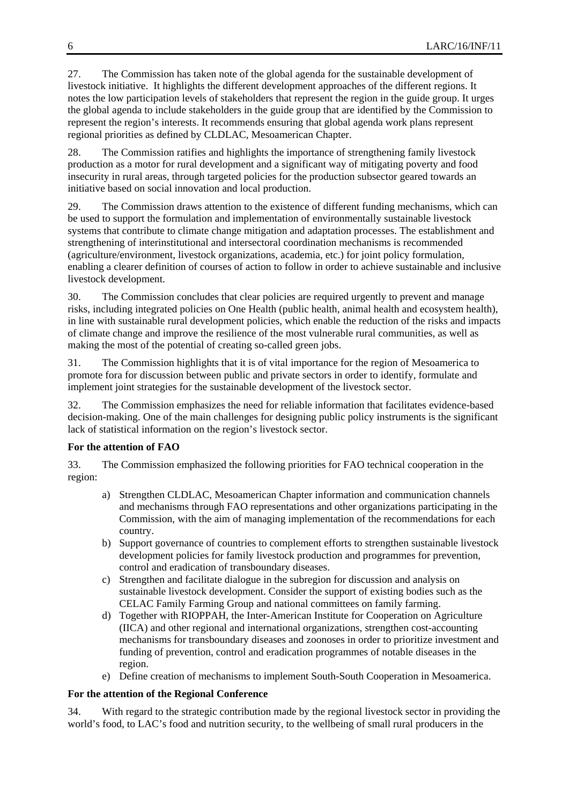27. The Commission has taken note of the global agenda for the sustainable development of livestock initiative. It highlights the different development approaches of the different regions. It notes the low participation levels of stakeholders that represent the region in the guide group. It urges the global agenda to include stakeholders in the guide group that are identified by the Commission to represent the region's interests. It recommends ensuring that global agenda work plans represent regional priorities as defined by CLDLAC, Mesoamerican Chapter.

28. The Commission ratifies and highlights the importance of strengthening family livestock production as a motor for rural development and a significant way of mitigating poverty and food insecurity in rural areas, through targeted policies for the production subsector geared towards an initiative based on social innovation and local production.

29. The Commission draws attention to the existence of different funding mechanisms, which can be used to support the formulation and implementation of environmentally sustainable livestock systems that contribute to climate change mitigation and adaptation processes. The establishment and strengthening of interinstitutional and intersectoral coordination mechanisms is recommended (agriculture/environment, livestock organizations, academia, etc.) for joint policy formulation, enabling a clearer definition of courses of action to follow in order to achieve sustainable and inclusive livestock development.

30. The Commission concludes that clear policies are required urgently to prevent and manage risks, including integrated policies on One Health (public health, animal health and ecosystem health), in line with sustainable rural development policies, which enable the reduction of the risks and impacts of climate change and improve the resilience of the most vulnerable rural communities, as well as making the most of the potential of creating so-called green jobs.

31. The Commission highlights that it is of vital importance for the region of Mesoamerica to promote fora for discussion between public and private sectors in order to identify, formulate and implement joint strategies for the sustainable development of the livestock sector.

32. The Commission emphasizes the need for reliable information that facilitates evidence-based decision-making. One of the main challenges for designing public policy instruments is the significant lack of statistical information on the region's livestock sector.

# **For the attention of FAO**

33. The Commission emphasized the following priorities for FAO technical cooperation in the region:

- a) Strengthen CLDLAC, Mesoamerican Chapter information and communication channels and mechanisms through FAO representations and other organizations participating in the Commission, with the aim of managing implementation of the recommendations for each country.
- b) Support governance of countries to complement efforts to strengthen sustainable livestock development policies for family livestock production and programmes for prevention, control and eradication of transboundary diseases.
- c) Strengthen and facilitate dialogue in the subregion for discussion and analysis on sustainable livestock development. Consider the support of existing bodies such as the CELAC Family Farming Group and national committees on family farming.
- d) Together with RIOPPAH, the Inter-American Institute for Cooperation on Agriculture (IICA) and other regional and international organizations, strengthen cost-accounting mechanisms for transboundary diseases and zoonoses in order to prioritize investment and funding of prevention, control and eradication programmes of notable diseases in the region.
- e) Define creation of mechanisms to implement South-South Cooperation in Mesoamerica.

# **For the attention of the Regional Conference**

34. With regard to the strategic contribution made by the regional livestock sector in providing the world's food, to LAC's food and nutrition security, to the wellbeing of small rural producers in the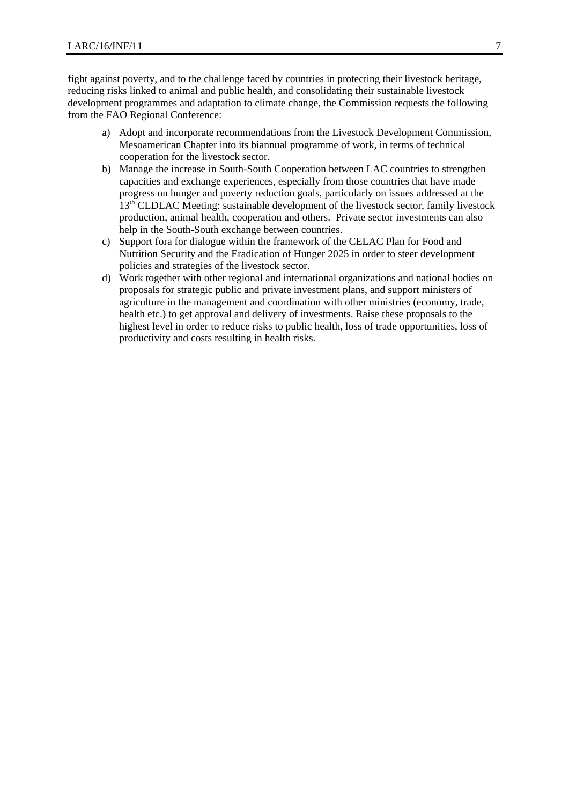fight against poverty, and to the challenge faced by countries in protecting their livestock heritage, reducing risks linked to animal and public health, and consolidating their sustainable livestock development programmes and adaptation to climate change, the Commission requests the following from the FAO Regional Conference:

- a) Adopt and incorporate recommendations from the Livestock Development Commission, Mesoamerican Chapter into its biannual programme of work, in terms of technical cooperation for the livestock sector.
- b) Manage the increase in South-South Cooperation between LAC countries to strengthen capacities and exchange experiences, especially from those countries that have made progress on hunger and poverty reduction goals, particularly on issues addressed at the 13<sup>th</sup> CLDLAC Meeting: sustainable development of the livestock sector, family livestock production, animal health, cooperation and others. Private sector investments can also help in the South-South exchange between countries.
- c) Support fora for dialogue within the framework of the CELAC Plan for Food and Nutrition Security and the Eradication of Hunger 2025 in order to steer development policies and strategies of the livestock sector.
- d) Work together with other regional and international organizations and national bodies on proposals for strategic public and private investment plans, and support ministers of agriculture in the management and coordination with other ministries (economy, trade, health etc.) to get approval and delivery of investments. Raise these proposals to the highest level in order to reduce risks to public health, loss of trade opportunities, loss of productivity and costs resulting in health risks.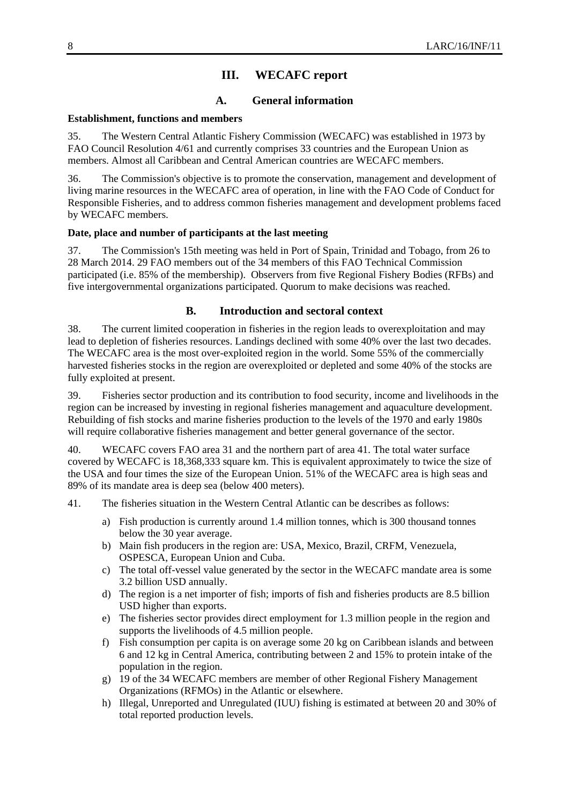# **III. WECAFC report**

# **A. General information**

#### **Establishment, functions and members**

35. The Western Central Atlantic Fishery Commission (WECAFC) was established in 1973 by FAO Council Resolution 4/61 and currently comprises 33 countries and the European Union as members. Almost all Caribbean and Central American countries are WECAFC members.

36. The Commission's objective is to promote the conservation, management and development of living marine resources in the WECAFC area of operation, in line with the FAO Code of Conduct for Responsible Fisheries, and to address common fisheries management and development problems faced by WECAFC members.

#### **Date, place and number of participants at the last meeting**

37. The Commission's 15th meeting was held in Port of Spain, Trinidad and Tobago, from 26 to 28 March 2014. 29 FAO members out of the 34 members of this FAO Technical Commission participated (i.e. 85% of the membership). Observers from five Regional Fishery Bodies (RFBs) and five intergovernmental organizations participated. Quorum to make decisions was reached.

## **B. Introduction and sectoral context**

38. The current limited cooperation in fisheries in the region leads to overexploitation and may lead to depletion of fisheries resources. Landings declined with some 40% over the last two decades. The WECAFC area is the most over-exploited region in the world. Some 55% of the commercially harvested fisheries stocks in the region are overexploited or depleted and some 40% of the stocks are fully exploited at present.

39. Fisheries sector production and its contribution to food security, income and livelihoods in the region can be increased by investing in regional fisheries management and aquaculture development. Rebuilding of fish stocks and marine fisheries production to the levels of the 1970 and early 1980s will require collaborative fisheries management and better general governance of the sector.

40. WECAFC covers FAO area 31 and the northern part of area 41. The total water surface covered by WECAFC is 18,368,333 square km. This is equivalent approximately to twice the size of the USA and four times the size of the European Union. 51% of the WECAFC area is high seas and 89% of its mandate area is deep sea (below 400 meters).

- 41. The fisheries situation in the Western Central Atlantic can be describes as follows:
	- a) Fish production is currently around 1.4 million tonnes, which is 300 thousand tonnes below the 30 year average.
	- b) Main fish producers in the region are: USA, Mexico, Brazil, CRFM, Venezuela, OSPESCA, European Union and Cuba.
	- c) The total off-vessel value generated by the sector in the WECAFC mandate area is some 3.2 billion USD annually.
	- d) The region is a net importer of fish; imports of fish and fisheries products are 8.5 billion USD higher than exports.
	- e) The fisheries sector provides direct employment for 1.3 million people in the region and supports the livelihoods of 4.5 million people.
	- f) Fish consumption per capita is on average some 20 kg on Caribbean islands and between 6 and 12 kg in Central America, contributing between 2 and 15% to protein intake of the population in the region.
	- g) 19 of the 34 WECAFC members are member of other Regional Fishery Management Organizations (RFMOs) in the Atlantic or elsewhere.
	- h) Illegal, Unreported and Unregulated (IUU) fishing is estimated at between 20 and 30% of total reported production levels.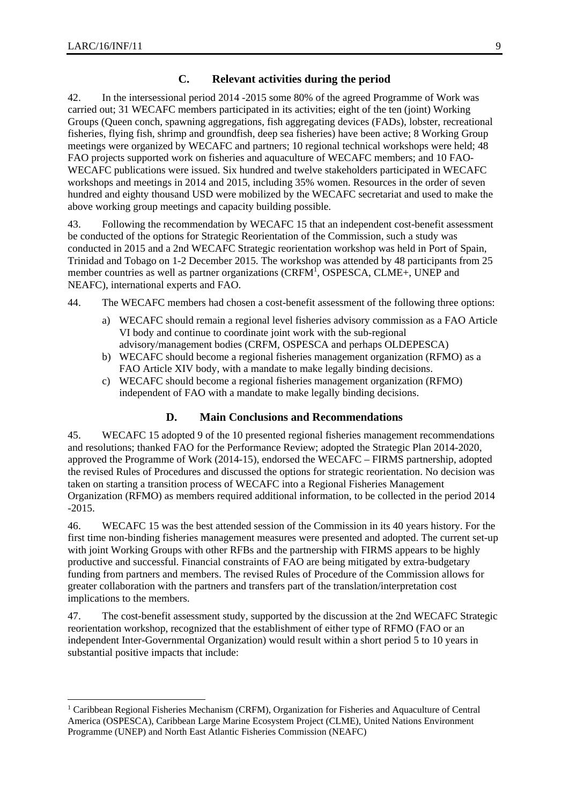1

## **C. Relevant activities during the period**

42. In the intersessional period 2014 -2015 some 80% of the agreed Programme of Work was carried out; 31 WECAFC members participated in its activities; eight of the ten (joint) Working Groups (Queen conch, spawning aggregations, fish aggregating devices (FADs), lobster, recreational fisheries, flying fish, shrimp and groundfish, deep sea fisheries) have been active; 8 Working Group meetings were organized by WECAFC and partners; 10 regional technical workshops were held; 48 FAO projects supported work on fisheries and aquaculture of WECAFC members; and 10 FAO-WECAFC publications were issued. Six hundred and twelve stakeholders participated in WECAFC workshops and meetings in 2014 and 2015, including 35% women. Resources in the order of seven hundred and eighty thousand USD were mobilized by the WECAFC secretariat and used to make the above working group meetings and capacity building possible.

43. Following the recommendation by WECAFC 15 that an independent cost-benefit assessment be conducted of the options for Strategic Reorientation of the Commission, such a study was conducted in 2015 and a 2nd WECAFC Strategic reorientation workshop was held in Port of Spain, Trinidad and Tobago on 1-2 December 2015. The workshop was attended by 48 participants from 25 member countries as well as partner organizations (CRFM<sup>1</sup>, OSPESCA, CLME+, UNEP and NEAFC), international experts and FAO.

- 44. The WECAFC members had chosen a cost-benefit assessment of the following three options:
	- a) WECAFC should remain a regional level fisheries advisory commission as a FAO Article VI body and continue to coordinate joint work with the sub-regional advisory/management bodies (CRFM, OSPESCA and perhaps OLDEPESCA)
	- b) WECAFC should become a regional fisheries management organization (RFMO) as a FAO Article XIV body, with a mandate to make legally binding decisions.
	- c) WECAFC should become a regional fisheries management organization (RFMO) independent of FAO with a mandate to make legally binding decisions.

## **D. Main Conclusions and Recommendations**

45. WECAFC 15 adopted 9 of the 10 presented regional fisheries management recommendations and resolutions; thanked FAO for the Performance Review; adopted the Strategic Plan 2014-2020, approved the Programme of Work (2014-15), endorsed the WECAFC – FIRMS partnership, adopted the revised Rules of Procedures and discussed the options for strategic reorientation. No decision was taken on starting a transition process of WECAFC into a Regional Fisheries Management Organization (RFMO) as members required additional information, to be collected in the period 2014 -2015.

46. WECAFC 15 was the best attended session of the Commission in its 40 years history. For the first time non-binding fisheries management measures were presented and adopted. The current set-up with joint Working Groups with other RFBs and the partnership with FIRMS appears to be highly productive and successful. Financial constraints of FAO are being mitigated by extra-budgetary funding from partners and members. The revised Rules of Procedure of the Commission allows for greater collaboration with the partners and transfers part of the translation/interpretation cost implications to the members.

47. The cost-benefit assessment study, supported by the discussion at the 2nd WECAFC Strategic reorientation workshop, recognized that the establishment of either type of RFMO (FAO or an independent Inter-Governmental Organization) would result within a short period 5 to 10 years in substantial positive impacts that include:

<sup>&</sup>lt;sup>1</sup> Caribbean Regional Fisheries Mechanism (CRFM), Organization for Fisheries and Aquaculture of Central America (OSPESCA), Caribbean Large Marine Ecosystem Project (CLME), United Nations Environment Programme (UNEP) and North East Atlantic Fisheries Commission (NEAFC)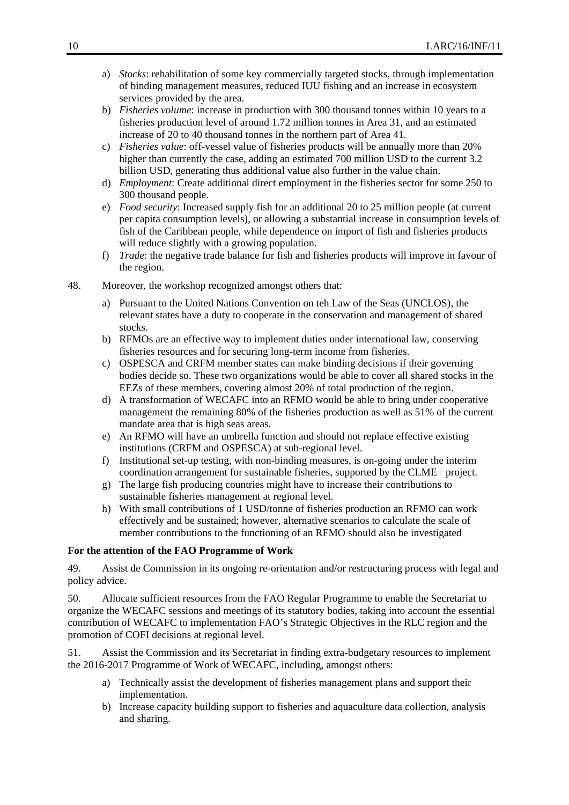- a) *Stocks*: rehabilitation of some key commercially targeted stocks, through implementation of binding management measures, reduced IUU fishing and an increase in ecosystem services provided by the area.
- b) *Fisheries volume*: increase in production with 300 thousand tonnes within 10 years to a fisheries production level of around 1.72 million tonnes in Area 31, and an estimated increase of 20 to 40 thousand tonnes in the northern part of Area 41.
- c) *Fisheries value*: off-vessel value of fisheries products will be annually more than 20% higher than currently the case, adding an estimated 700 million USD to the current 3.2 billion USD, generating thus additional value also further in the value chain.
- d) *Employment*: Create additional direct employment in the fisheries sector for some 250 to 300 thousand people.
- e) *Food security*: Increased supply fish for an additional 20 to 25 million people (at current per capita consumption levels), or allowing a substantial increase in consumption levels of fish of the Caribbean people, while dependence on import of fish and fisheries products will reduce slightly with a growing population.
- f) *Trade*: the negative trade balance for fish and fisheries products will improve in favour of the region.
- 48. Moreover, the workshop recognized amongst others that:
	- a) Pursuant to the United Nations Convention on teh Law of the Seas (UNCLOS), the relevant states have a duty to cooperate in the conservation and management of shared stocks.
	- b) RFMOs are an effective way to implement duties under international law, conserving fisheries resources and for securing long-term income from fisheries.
	- c) OSPESCA and CRFM member states can make binding decisions if their governing bodies decide so. These two organizations would be able to cover all shared stocks in the EEZs of these members, covering almost 20% of total production of the region.
	- d) A transformation of WECAFC into an RFMO would be able to bring under cooperative management the remaining 80% of the fisheries production as well as 51% of the current mandate area that is high seas areas.
	- e) An RFMO will have an umbrella function and should not replace effective existing institutions (CRFM and OSPESCA) at sub-regional level.
	- f) Institutional set-up testing, with non-binding measures, is on-going under the interim coordination arrangement for sustainable fisheries, supported by the CLME+ project.
	- g) The large fish producing countries might have to increase their contributions to sustainable fisheries management at regional level.
	- h) With small contributions of 1 USD/tonne of fisheries production an RFMO can work effectively and be sustained; however, alternative scenarios to calculate the scale of member contributions to the functioning of an RFMO should also be investigated

## **For the attention of the FAO Programme of Work**

49. Assist de Commission in its ongoing re-orientation and/or restructuring process with legal and policy advice.

50. Allocate sufficient resources from the FAO Regular Programme to enable the Secretariat to organize the WECAFC sessions and meetings of its statutory bodies, taking into account the essential contribution of WECAFC to implementation FAO's Strategic Objectives in the RLC region and the promotion of COFI decisions at regional level.

51. Assist the Commission and its Secretariat in finding extra-budgetary resources to implement the 2016-2017 Programme of Work of WECAFC, including, amongst others:

- a) Technically assist the development of fisheries management plans and support their implementation.
- b) Increase capacity building support to fisheries and aquaculture data collection, analysis and sharing.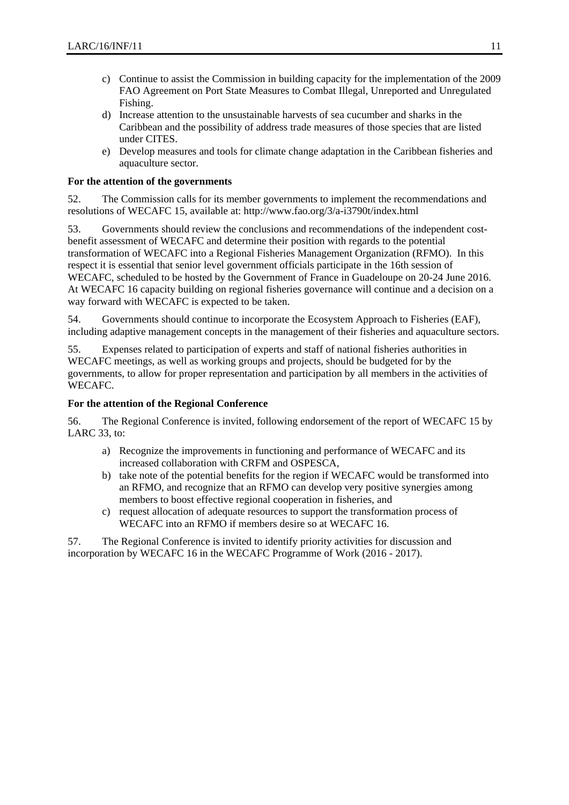- c) Continue to assist the Commission in building capacity for the implementation of the 2009 FAO Agreement on Port State Measures to Combat Illegal, Unreported and Unregulated Fishing.
- d) Increase attention to the unsustainable harvests of sea cucumber and sharks in the Caribbean and the possibility of address trade measures of those species that are listed under CITES.
- e) Develop measures and tools for climate change adaptation in the Caribbean fisheries and aquaculture sector.

#### **For the attention of the governments**

52. The Commission calls for its member governments to implement the recommendations and resolutions of WECAFC 15, available at: http://www.fao.org/3/a-i3790t/index.html

53. Governments should review the conclusions and recommendations of the independent costbenefit assessment of WECAFC and determine their position with regards to the potential transformation of WECAFC into a Regional Fisheries Management Organization (RFMO). In this respect it is essential that senior level government officials participate in the 16th session of WECAFC, scheduled to be hosted by the Government of France in Guadeloupe on 20-24 June 2016. At WECAFC 16 capacity building on regional fisheries governance will continue and a decision on a way forward with WECAFC is expected to be taken.

54. Governments should continue to incorporate the Ecosystem Approach to Fisheries (EAF), including adaptive management concepts in the management of their fisheries and aquaculture sectors.

55. Expenses related to participation of experts and staff of national fisheries authorities in WECAFC meetings, as well as working groups and projects, should be budgeted for by the governments, to allow for proper representation and participation by all members in the activities of WECAFC.

## **For the attention of the Regional Conference**

56. The Regional Conference is invited, following endorsement of the report of WECAFC 15 by LARC 33, to:

- a) Recognize the improvements in functioning and performance of WECAFC and its increased collaboration with CRFM and OSPESCA,
- b) take note of the potential benefits for the region if WECAFC would be transformed into an RFMO, and recognize that an RFMO can develop very positive synergies among members to boost effective regional cooperation in fisheries, and
- c) request allocation of adequate resources to support the transformation process of WECAFC into an RFMO if members desire so at WECAFC 16.

57. The Regional Conference is invited to identify priority activities for discussion and incorporation by WECAFC 16 in the WECAFC Programme of Work (2016 - 2017).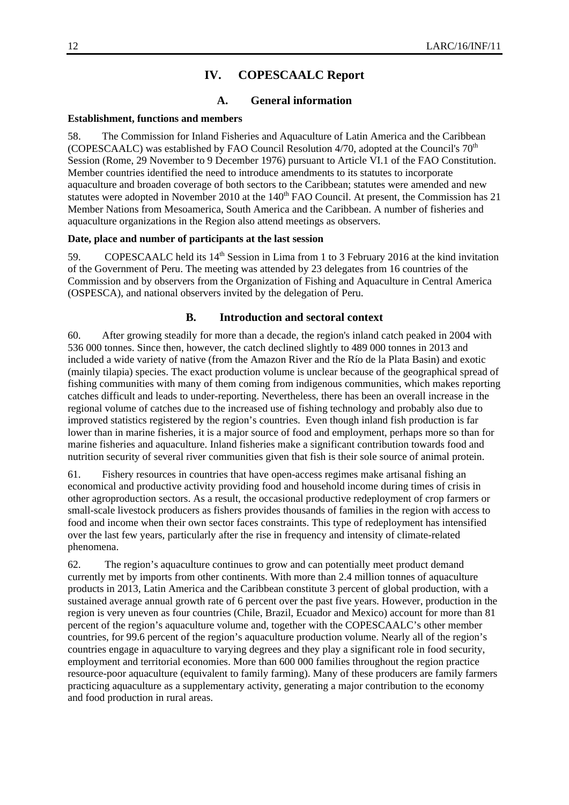# **IV. COPESCAALC Report**

# **A. General information**

#### **Establishment, functions and members**

58. The Commission for Inland Fisheries and Aquaculture of Latin America and the Caribbean (COPESCAALC) was established by FAO Council Resolution  $4/70$ , adopted at the Council's  $70<sup>th</sup>$ Session (Rome, 29 November to 9 December 1976) pursuant to Article VI.1 of the FAO Constitution. Member countries identified the need to introduce amendments to its statutes to incorporate aquaculture and broaden coverage of both sectors to the Caribbean; statutes were amended and new statutes were adopted in November 2010 at the 140<sup>th</sup> FAO Council. At present, the Commission has 21 Member Nations from Mesoamerica, South America and the Caribbean. A number of fisheries and aquaculture organizations in the Region also attend meetings as observers.

## **Date, place and number of participants at the last session**

59. COPESCAALC held its 14<sup>th</sup> Session in Lima from 1 to 3 February 2016 at the kind invitation of the Government of Peru. The meeting was attended by 23 delegates from 16 countries of the Commission and by observers from the Organization of Fishing and Aquaculture in Central America (OSPESCA), and national observers invited by the delegation of Peru.

#### **B. Introduction and sectoral context**

60. After growing steadily for more than a decade, the region's inland catch peaked in 2004 with 536 000 tonnes. Since then, however, the catch declined slightly to 489 000 tonnes in 2013 and included a wide variety of native (from the Amazon River and the Río de la Plata Basin) and exotic (mainly tilapia) species. The exact production volume is unclear because of the geographical spread of fishing communities with many of them coming from indigenous communities, which makes reporting catches difficult and leads to under-reporting. Nevertheless, there has been an overall increase in the regional volume of catches due to the increased use of fishing technology and probably also due to improved statistics registered by the region's countries. Even though inland fish production is far lower than in marine fisheries, it is a major source of food and employment, perhaps more so than for marine fisheries and aquaculture. Inland fisheries make a significant contribution towards food and nutrition security of several river communities given that fish is their sole source of animal protein.

61. Fishery resources in countries that have open-access regimes make artisanal fishing an economical and productive activity providing food and household income during times of crisis in other agroproduction sectors. As a result, the occasional productive redeployment of crop farmers or small-scale livestock producers as fishers provides thousands of families in the region with access to food and income when their own sector faces constraints. This type of redeployment has intensified over the last few years, particularly after the rise in frequency and intensity of climate-related phenomena.

62. The region's aquaculture continues to grow and can potentially meet product demand currently met by imports from other continents. With more than 2.4 million tonnes of aquaculture products in 2013, Latin America and the Caribbean constitute 3 percent of global production, with a sustained average annual growth rate of 6 percent over the past five years. However, production in the region is very uneven as four countries (Chile, Brazil, Ecuador and Mexico) account for more than 81 percent of the region's aquaculture volume and, together with the COPESCAALC's other member countries, for 99.6 percent of the region's aquaculture production volume. Nearly all of the region's countries engage in aquaculture to varying degrees and they play a significant role in food security, employment and territorial economies. More than 600 000 families throughout the region practice resource-poor aquaculture (equivalent to family farming). Many of these producers are family farmers practicing aquaculture as a supplementary activity, generating a major contribution to the economy and food production in rural areas.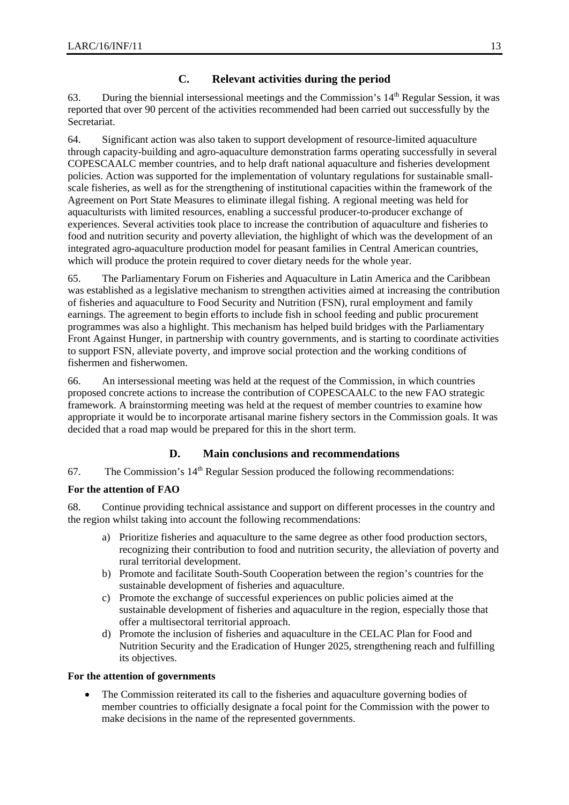# **C. Relevant activities during the period**

63. During the biennial intersessional meetings and the Commission's 14th Regular Session, it was reported that over 90 percent of the activities recommended had been carried out successfully by the Secretariat.

64. Significant action was also taken to support development of resource-limited aquaculture through capacity-building and agro-aquaculture demonstration farms operating successfully in several COPESCAALC member countries, and to help draft national aquaculture and fisheries development policies. Action was supported for the implementation of voluntary regulations for sustainable smallscale fisheries, as well as for the strengthening of institutional capacities within the framework of the Agreement on Port State Measures to eliminate illegal fishing. A regional meeting was held for aquaculturists with limited resources, enabling a successful producer-to-producer exchange of experiences. Several activities took place to increase the contribution of aquaculture and fisheries to food and nutrition security and poverty alleviation, the highlight of which was the development of an integrated agro-aquaculture production model for peasant families in Central American countries, which will produce the protein required to cover dietary needs for the whole year.

65. The Parliamentary Forum on Fisheries and Aquaculture in Latin America and the Caribbean was established as a legislative mechanism to strengthen activities aimed at increasing the contribution of fisheries and aquaculture to Food Security and Nutrition (FSN), rural employment and family earnings. The agreement to begin efforts to include fish in school feeding and public procurement programmes was also a highlight. This mechanism has helped build bridges with the Parliamentary Front Against Hunger, in partnership with country governments, and is starting to coordinate activities to support FSN, alleviate poverty, and improve social protection and the working conditions of fishermen and fisherwomen.

66. An intersessional meeting was held at the request of the Commission, in which countries proposed concrete actions to increase the contribution of COPESCAALC to the new FAO strategic framework. A brainstorming meeting was held at the request of member countries to examine how appropriate it would be to incorporate artisanal marine fishery sectors in the Commission goals. It was decided that a road map would be prepared for this in the short term.

## **D. Main conclusions and recommendations**

67. The Commission's  $14<sup>th</sup>$  Regular Session produced the following recommendations:

## **For the attention of FAO**

68. Continue providing technical assistance and support on different processes in the country and the region whilst taking into account the following recommendations:

- a) Prioritize fisheries and aquaculture to the same degree as other food production sectors, recognizing their contribution to food and nutrition security, the alleviation of poverty and rural territorial development.
- b) Promote and facilitate South-South Cooperation between the region's countries for the sustainable development of fisheries and aquaculture.
- c) Promote the exchange of successful experiences on public policies aimed at the sustainable development of fisheries and aquaculture in the region, especially those that offer a multisectoral territorial approach.
- d) Promote the inclusion of fisheries and aquaculture in the CELAC Plan for Food and Nutrition Security and the Eradication of Hunger 2025, strengthening reach and fulfilling its objectives.

#### **For the attention of governments**

 The Commission reiterated its call to the fisheries and aquaculture governing bodies of member countries to officially designate a focal point for the Commission with the power to make decisions in the name of the represented governments.